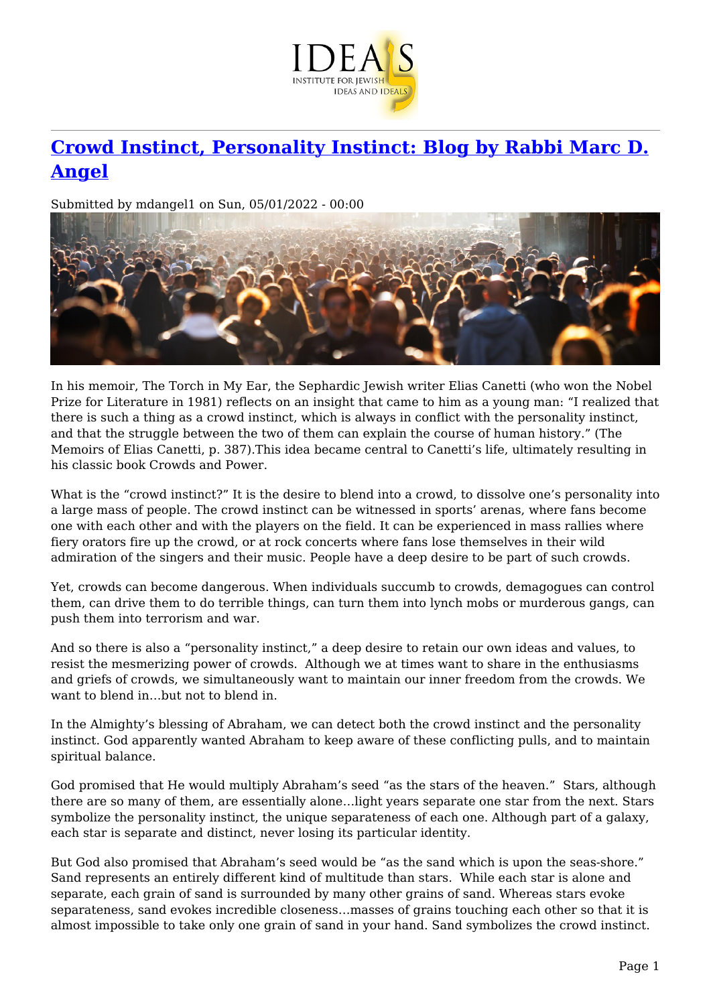

## **[Crowd Instinct, Personality Instinct: Blog by Rabbi Marc D.](https://www.jewishideas.org/blog/crowd-instinct-personality-instinct-blog-rabbi-marc-d-angel) [Angel](https://www.jewishideas.org/blog/crowd-instinct-personality-instinct-blog-rabbi-marc-d-angel)**

Submitted by mdangel1 on Sun, 05/01/2022 - 00:00



In his memoir, The Torch in My Ear, the Sephardic Jewish writer Elias Canetti (who won the Nobel Prize for Literature in 1981) reflects on an insight that came to him as a young man: "I realized that there is such a thing as a crowd instinct, which is always in conflict with the personality instinct, and that the struggle between the two of them can explain the course of human history." (The Memoirs of Elias Canetti, p. 387).This idea became central to Canetti's life, ultimately resulting in his classic book Crowds and Power.

What is the "crowd instinct?" It is the desire to blend into a crowd, to dissolve one's personality into a large mass of people. The crowd instinct can be witnessed in sports' arenas, where fans become one with each other and with the players on the field. It can be experienced in mass rallies where fiery orators fire up the crowd, or at rock concerts where fans lose themselves in their wild admiration of the singers and their music. People have a deep desire to be part of such crowds.

Yet, crowds can become dangerous. When individuals succumb to crowds, demagogues can control them, can drive them to do terrible things, can turn them into lynch mobs or murderous gangs, can push them into terrorism and war.

And so there is also a "personality instinct," a deep desire to retain our own ideas and values, to resist the mesmerizing power of crowds. Although we at times want to share in the enthusiasms and griefs of crowds, we simultaneously want to maintain our inner freedom from the crowds. We want to blend in…but not to blend in.

In the Almighty's blessing of Abraham, we can detect both the crowd instinct and the personality instinct. God apparently wanted Abraham to keep aware of these conflicting pulls, and to maintain spiritual balance.

God promised that He would multiply Abraham's seed "as the stars of the heaven." Stars, although there are so many of them, are essentially alone…light years separate one star from the next. Stars symbolize the personality instinct, the unique separateness of each one. Although part of a galaxy, each star is separate and distinct, never losing its particular identity.

But God also promised that Abraham's seed would be "as the sand which is upon the seas-shore." Sand represents an entirely different kind of multitude than stars. While each star is alone and separate, each grain of sand is surrounded by many other grains of sand. Whereas stars evoke separateness, sand evokes incredible closeness…masses of grains touching each other so that it is almost impossible to take only one grain of sand in your hand. Sand symbolizes the crowd instinct.